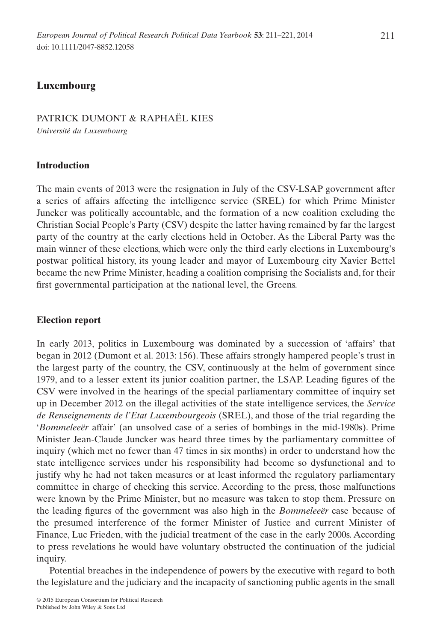# **Luxembourg**

# PATRICK DUMONT & RAPHAËL KIES

*Université du Luxembourg*

## **Introduction**

The main events of 2013 were the resignation in July of the CSV-LSAP government after a series of affairs affecting the intelligence service (SREL) for which Prime Minister Juncker was politically accountable, and the formation of a new coalition excluding the Christian Social People's Party (CSV) despite the latter having remained by far the largest party of the country at the early elections held in October. As the Liberal Party was the main winner of these elections, which were only the third early elections in Luxembourg's postwar political history, its young leader and mayor of Luxembourg city Xavier Bettel became the new Prime Minister, heading a coalition comprising the Socialists and, for their first governmental participation at the national level, the Greens.

## **Election report**

In early 2013, politics in Luxembourg was dominated by a succession of 'affairs' that began in 2012 (Dumont et al. 2013: 156). These affairs strongly hampered people's trust in the largest party of the country, the CSV, continuously at the helm of government since 1979, and to a lesser extent its junior coalition partner, the LSAP. Leading figures of the CSV were involved in the hearings of the special parliamentary committee of inquiry set up in December 2012 on the illegal activities of the state intelligence services, the *Service de Renseignements de l'Etat Luxembourgeois* (SREL), and those of the trial regarding the '*Bommeleeër* affair' (an unsolved case of a series of bombings in the mid-1980s). Prime Minister Jean-Claude Juncker was heard three times by the parliamentary committee of inquiry (which met no fewer than 47 times in six months) in order to understand how the state intelligence services under his responsibility had become so dysfunctional and to justify why he had not taken measures or at least informed the regulatory parliamentary committee in charge of checking this service. According to the press, those malfunctions were known by the Prime Minister, but no measure was taken to stop them. Pressure on the leading figures of the government was also high in the *Bommeleeër* case because of the presumed interference of the former Minister of Justice and current Minister of Finance, Luc Frieden, with the judicial treatment of the case in the early 2000s. According to press revelations he would have voluntary obstructed the continuation of the judicial inquiry.

Potential breaches in the independence of powers by the executive with regard to both the legislature and the judiciary and the incapacity of sanctioning public agents in the small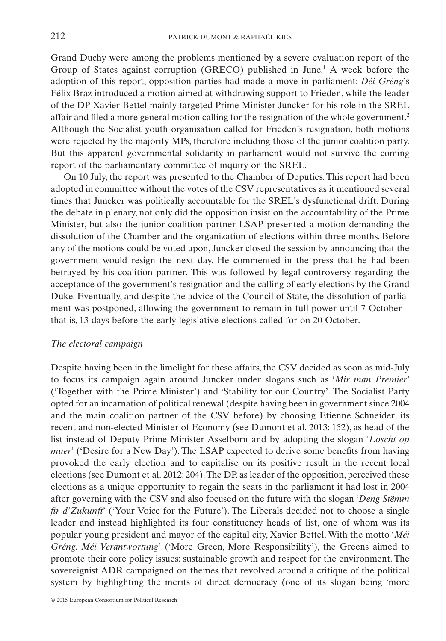Grand Duchy were among the problems mentioned by a severe evaluation report of the Group of States against corruption (GRECO) published in June.1 A week before the adoption of this report, opposition parties had made a move in parliament: *Déi Gréng*'s Félix Braz introduced a motion aimed at withdrawing support to Frieden, while the leader of the DP Xavier Bettel mainly targeted Prime Minister Juncker for his role in the SREL affair and filed a more general motion calling for the resignation of the whole government.2 Although the Socialist youth organisation called for Frieden's resignation, both motions were rejected by the majority MPs, therefore including those of the junior coalition party. But this apparent governmental solidarity in parliament would not survive the coming report of the parliamentary committee of inquiry on the SREL.

On 10 July, the report was presented to the Chamber of Deputies. This report had been adopted in committee without the votes of the CSV representatives as it mentioned several times that Juncker was politically accountable for the SREL's dysfunctional drift. During the debate in plenary, not only did the opposition insist on the accountability of the Prime Minister, but also the junior coalition partner LSAP presented a motion demanding the dissolution of the Chamber and the organization of elections within three months. Before any of the motions could be voted upon, Juncker closed the session by announcing that the government would resign the next day. He commented in the press that he had been betrayed by his coalition partner. This was followed by legal controversy regarding the acceptance of the government's resignation and the calling of early elections by the Grand Duke. Eventually, and despite the advice of the Council of State, the dissolution of parliament was postponed, allowing the government to remain in full power until 7 October – that is, 13 days before the early legislative elections called for on 20 October.

#### *The electoral campaign*

Despite having been in the limelight for these affairs, the CSV decided as soon as mid-July to focus its campaign again around Juncker under slogans such as '*Mir man Premier*' ('Together with the Prime Minister') and 'Stability for our Country'. The Socialist Party opted for an incarnation of political renewal (despite having been in government since 2004 and the main coalition partner of the CSV before) by choosing Etienne Schneider, its recent and non-elected Minister of Economy (see Dumont et al. 2013: 152), as head of the list instead of Deputy Prime Minister Asselborn and by adopting the slogan '*Loscht op muer*' ('Desire for a New Day'). The LSAP expected to derive some benefits from having provoked the early election and to capitalise on its positive result in the recent local elections (see Dumont et al. 2012: 204).The DP, as leader of the opposition, perceived these elections as a unique opportunity to regain the seats in the parliament it had lost in 2004 after governing with the CSV and also focused on the future with the slogan '*Deng Stëmm fir d'Zukunft*' ('Your Voice for the Future'). The Liberals decided not to choose a single leader and instead highlighted its four constituency heads of list, one of whom was its popular young president and mayor of the capital city, Xavier Bettel. With the motto '*Méi Gréng. Méi Verantwortung*' ('More Green, More Responsibility'), the Greens aimed to promote their core policy issues: sustainable growth and respect for the environment. The sovereignist ADR campaigned on themes that revolved around a critique of the political system by highlighting the merits of direct democracy (one of its slogan being 'more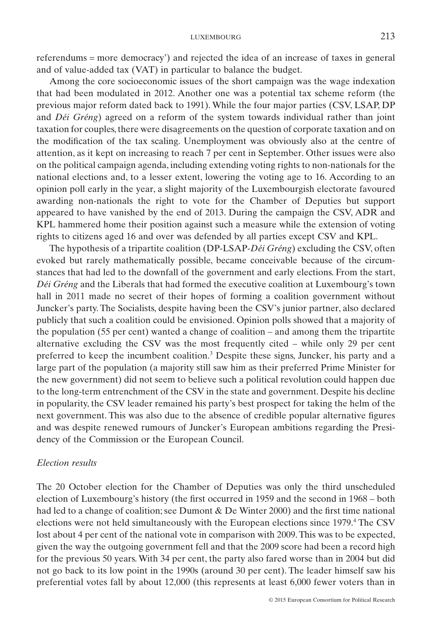referendums = more democracy') and rejected the idea of an increase of taxes in general and of value-added tax (VAT) in particular to balance the budget.

Among the core socioeconomic issues of the short campaign was the wage indexation that had been modulated in 2012. Another one was a potential tax scheme reform (the previous major reform dated back to 1991). While the four major parties (CSV, LSAP, DP and *Déi Gréng*) agreed on a reform of the system towards individual rather than joint taxation for couples, there were disagreements on the question of corporate taxation and on the modification of the tax scaling. Unemployment was obviously also at the centre of attention, as it kept on increasing to reach 7 per cent in September. Other issues were also on the political campaign agenda, including extending voting rights to non-nationals for the national elections and, to a lesser extent, lowering the voting age to 16. According to an opinion poll early in the year, a slight majority of the Luxembourgish electorate favoured awarding non-nationals the right to vote for the Chamber of Deputies but support appeared to have vanished by the end of 2013. During the campaign the CSV, ADR and KPL hammered home their position against such a measure while the extension of voting rights to citizens aged 16 and over was defended by all parties except CSV and KPL.

The hypothesis of a tripartite coalition (DP-LSAP-*Déi Gréng*) excluding the CSV, often evoked but rarely mathematically possible, became conceivable because of the circumstances that had led to the downfall of the government and early elections. From the start, *Déi Gréng* and the Liberals that had formed the executive coalition at Luxembourg's town hall in 2011 made no secret of their hopes of forming a coalition government without Juncker's party. The Socialists, despite having been the CSV's junior partner, also declared publicly that such a coalition could be envisioned. Opinion polls showed that a majority of the population (55 per cent) wanted a change of coalition – and among them the tripartite alternative excluding the CSV was the most frequently cited – while only 29 per cent preferred to keep the incumbent coalition.3 Despite these signs, Juncker, his party and a large part of the population (a majority still saw him as their preferred Prime Minister for the new government) did not seem to believe such a political revolution could happen due to the long-term entrenchment of the CSV in the state and government. Despite his decline in popularity, the CSV leader remained his party's best prospect for taking the helm of the next government. This was also due to the absence of credible popular alternative figures and was despite renewed rumours of Juncker's European ambitions regarding the Presidency of the Commission or the European Council.

#### *Election results*

The 20 October election for the Chamber of Deputies was only the third unscheduled election of Luxembourg's history (the first occurred in 1959 and the second in 1968 – both had led to a change of coalition; see Dumont & De Winter 2000) and the first time national elections were not held simultaneously with the European elections since 1979.<sup>4</sup> The CSV lost about 4 per cent of the national vote in comparison with 2009. This was to be expected, given the way the outgoing government fell and that the 2009 score had been a record high for the previous 50 years. With 34 per cent, the party also fared worse than in 2004 but did not go back to its low point in the 1990s (around 30 per cent). The leader himself saw his preferential votes fall by about 12,000 (this represents at least 6,000 fewer voters than in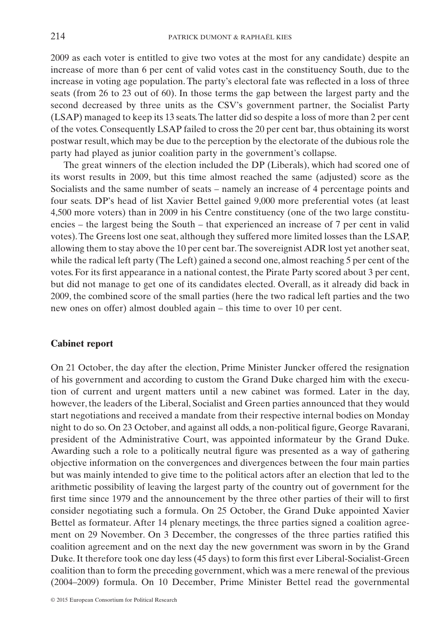2009 as each voter is entitled to give two votes at the most for any candidate) despite an increase of more than 6 per cent of valid votes cast in the constituency South, due to the increase in voting age population. The party's electoral fate was reflected in a loss of three seats (from 26 to 23 out of 60). In those terms the gap between the largest party and the second decreased by three units as the CSV's government partner, the Socialist Party (LSAP) managed to keep its 13 seats.The latter did so despite a loss of more than 2 per cent of the votes. Consequently LSAP failed to cross the 20 per cent bar, thus obtaining its worst postwar result, which may be due to the perception by the electorate of the dubious role the party had played as junior coalition party in the government's collapse.

The great winners of the election included the DP (Liberals), which had scored one of its worst results in 2009, but this time almost reached the same (adjusted) score as the Socialists and the same number of seats – namely an increase of 4 percentage points and four seats. DP's head of list Xavier Bettel gained 9,000 more preferential votes (at least 4,500 more voters) than in 2009 in his Centre constituency (one of the two large constituencies – the largest being the South – that experienced an increase of 7 per cent in valid votes).The Greens lost one seat, although they suffered more limited losses than the LSAP, allowing them to stay above the 10 per cent bar.The sovereignist ADR lost yet another seat, while the radical left party (The Left) gained a second one, almost reaching 5 per cent of the votes. For its first appearance in a national contest, the Pirate Party scored about 3 per cent, but did not manage to get one of its candidates elected. Overall, as it already did back in 2009, the combined score of the small parties (here the two radical left parties and the two new ones on offer) almost doubled again – this time to over 10 per cent.

#### **Cabinet report**

On 21 October, the day after the election, Prime Minister Juncker offered the resignation of his government and according to custom the Grand Duke charged him with the execution of current and urgent matters until a new cabinet was formed. Later in the day, however, the leaders of the Liberal, Socialist and Green parties announced that they would start negotiations and received a mandate from their respective internal bodies on Monday night to do so. On 23 October, and against all odds, a non-political figure, George Ravarani, president of the Administrative Court, was appointed informateur by the Grand Duke. Awarding such a role to a politically neutral figure was presented as a way of gathering objective information on the convergences and divergences between the four main parties but was mainly intended to give time to the political actors after an election that led to the arithmetic possibility of leaving the largest party of the country out of government for the first time since 1979 and the announcement by the three other parties of their will to first consider negotiating such a formula. On 25 October, the Grand Duke appointed Xavier Bettel as formateur. After 14 plenary meetings, the three parties signed a coalition agreement on 29 November. On 3 December, the congresses of the three parties ratified this coalition agreement and on the next day the new government was sworn in by the Grand Duke. It therefore took one day less (45 days) to form this first ever Liberal-Socialist-Green coalition than to form the preceding government, which was a mere renewal of the previous (2004–2009) formula. On 10 December, Prime Minister Bettel read the governmental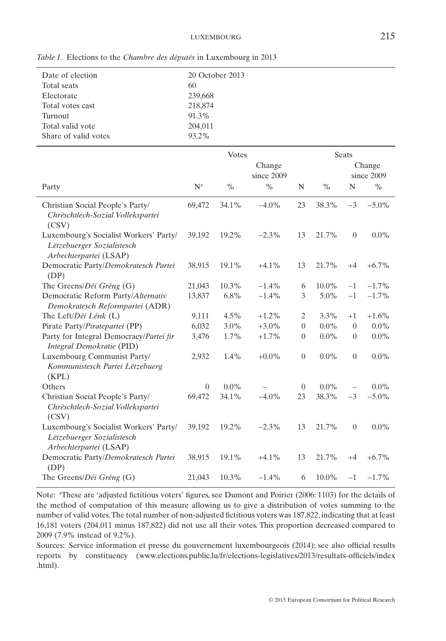*Table 1.* Elections to the *Chambre des députés* in Luxembourg in 2013

| Date of election     | 20 October 2013 |
|----------------------|-----------------|
| Total seats          | 60              |
| Electorate           | 239,668         |
| Total votes cast     | 218,874         |
| Turnout              | 91.3%           |
| Total valid vote     | 204,011         |
| Share of valid votes | 93.2%           |
|                      |                 |

|                                                                                                |                | <b>Votes</b> |                      | Seats            |          |                          |          |  |  |
|------------------------------------------------------------------------------------------------|----------------|--------------|----------------------|------------------|----------|--------------------------|----------|--|--|
|                                                                                                |                |              | Change<br>since 2009 |                  |          | Change<br>since 2009     |          |  |  |
| Party                                                                                          | $N^a$          | $\%$         | $\%$                 | N                | $\%$     | N                        | $\%$     |  |  |
| Christian Social People's Party/<br>Chrëschtlech-Sozial Vollekspartei<br>(CSV)                 | 69,472         | 34.1%        | $-4.0\%$             | 23               | 38.3%    | $-3$                     | $-5.0\%$ |  |  |
| Luxembourg's Socialist Workers' Party/<br>Lëtzebuerger Sozialistesch<br>Arbechterpartei (LSAP) | 39,192         | 19.2%        | $-2.3%$              | 13               | 21.7%    | $\boldsymbol{0}$         | $0.0\%$  |  |  |
| Democratic Party/Demokratesch Partei<br>(DP)                                                   | 38,915         | 19.1%        | $+4.1%$              | 13               | 21.7%    | $+4$                     | $+6.7\%$ |  |  |
| The Greens/Déi Gréng (G)                                                                       | 21,043         | 10.3%        | $-1.4%$              | 6                | 10.0%    | $-1$                     | $-1.7\%$ |  |  |
| Democratic Reform Party/Alternativ<br>Demokratesch Reformpartei (ADR)                          | 13,837         | 6.8%         | $-1.4%$              | 3                | 5.0%     | $-1$                     | $-1.7\%$ |  |  |
| The Left/Déi Lénk (L)                                                                          | 9,111          | 4.5%         | $+1.2%$              | 2                | 3.3%     | $+1$                     | $+1.6%$  |  |  |
| Pirate Party/Piratepartei (PP)                                                                 | 6,032          | 3.0%         | $+3.0\%$             | $\theta$         | $0.0\%$  | $\overline{0}$           | $0.0\%$  |  |  |
| Party for Integral Democracy/Partei fir<br>Integral Demokratie (PID)                           | 3,476          | 1.7%         | $+1.7%$              | $\overline{0}$   | $0.0\%$  | $\boldsymbol{0}$         | $0.0\%$  |  |  |
| Luxembourg Communist Party/<br>Kommunistesch Partei Lëtzebuerg<br>(KPL)                        | 2,932          | 1.4%         | $+0.0\%$             | $\boldsymbol{0}$ | $0.0\%$  | $\boldsymbol{0}$         | $0.0\%$  |  |  |
| Others                                                                                         | $\overline{0}$ | $0.0\%$      |                      | $\Omega$         | $0.0\%$  | $\overline{\phantom{0}}$ | $0.0\%$  |  |  |
| Christian Social People's Party/<br>Chrëschtlech-Sozial Vollekspartei<br>(CSV)                 | 69,472         | 34.1%        | $-4.0%$              | 23               | 38.3%    | $-3$                     | $-5.0\%$ |  |  |
| Luxembourg's Socialist Workers' Party/<br>Lëtzebuerger Sozialistesch<br>Arbechterpartei (LSAP) | 39,192         | 19.2%        | $-2.3\%$             | 13               | 21.7%    | $\overline{0}$           | $0.0\%$  |  |  |
| Democratic Party/Demokratesch Partei<br>(DP)                                                   | 38,915         | 19.1%        | $+4.1%$              | 13               | 21.7%    | $+4$                     | $+6.7\%$ |  |  |
| The Greens/Déi Gréng (G)                                                                       | 21,043         | 10.3%        | $-1.4%$              | 6                | $10.0\%$ | $-1$                     | $-1.7\%$ |  |  |

Note: "These are 'adjusted fictitious voters' figures, see Dumont and Poirier (2006: 1103) for the details of the method of computation of this measure allowing us to give a distribution of votes summing to the number of valid votes.The total number of non-adjusted fictitious voters was 187,822, indicating that at least 16,181 voters (204,011 minus 187,822) did not use all their votes. This proportion decreased compared to 2009 (7.9% instead of 9.2%).

Sources: Service information et presse du gouvernement luxembourgeois (2014); see also official results reports by constituency (www.elections.public.lu/fr/elections-legislatives/2013/resultats-officiels/index .html).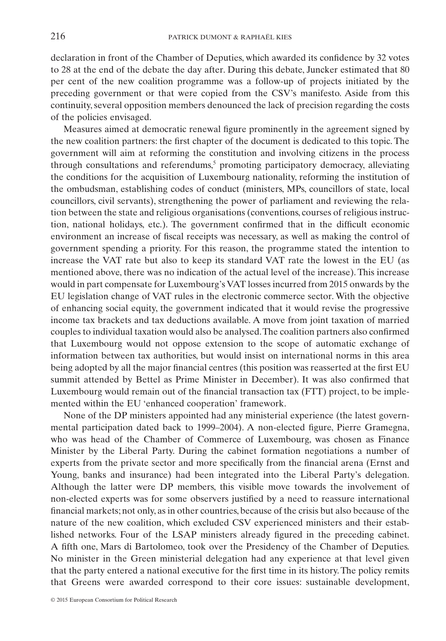declaration in front of the Chamber of Deputies, which awarded its confidence by 32 votes to 28 at the end of the debate the day after. During this debate, Juncker estimated that 80 per cent of the new coalition programme was a follow-up of projects initiated by the preceding government or that were copied from the CSV's manifesto. Aside from this continuity, several opposition members denounced the lack of precision regarding the costs of the policies envisaged.

Measures aimed at democratic renewal figure prominently in the agreement signed by the new coalition partners: the first chapter of the document is dedicated to this topic. The government will aim at reforming the constitution and involving citizens in the process through consultations and referendums, $5$  promoting participatory democracy, alleviating the conditions for the acquisition of Luxembourg nationality, reforming the institution of the ombudsman, establishing codes of conduct (ministers, MPs, councillors of state, local councillors, civil servants), strengthening the power of parliament and reviewing the relation between the state and religious organisations (conventions, courses of religious instruction, national holidays, etc.). The government confirmed that in the difficult economic environment an increase of fiscal receipts was necessary, as well as making the control of government spending a priority. For this reason, the programme stated the intention to increase the VAT rate but also to keep its standard VAT rate the lowest in the EU (as mentioned above, there was no indication of the actual level of the increase). This increase would in part compensate for Luxembourg's VAT losses incurred from 2015 onwards by the EU legislation change of VAT rules in the electronic commerce sector. With the objective of enhancing social equity, the government indicated that it would revise the progressive income tax brackets and tax deductions available. A move from joint taxation of married couples to individual taxation would also be analysed.The coalition partners also confirmed that Luxembourg would not oppose extension to the scope of automatic exchange of information between tax authorities, but would insist on international norms in this area being adopted by all the major financial centres (this position was reasserted at the first EU summit attended by Bettel as Prime Minister in December). It was also confirmed that Luxembourg would remain out of the financial transaction tax (FTT) project, to be implemented within the EU 'enhanced cooperation' framework.

None of the DP ministers appointed had any ministerial experience (the latest governmental participation dated back to 1999–2004). A non-elected figure, Pierre Gramegna, who was head of the Chamber of Commerce of Luxembourg, was chosen as Finance Minister by the Liberal Party. During the cabinet formation negotiations a number of experts from the private sector and more specifically from the financial arena (Ernst and Young, banks and insurance) had been integrated into the Liberal Party's delegation. Although the latter were DP members, this visible move towards the involvement of non-elected experts was for some observers justified by a need to reassure international financial markets; not only, as in other countries, because of the crisis but also because of the nature of the new coalition, which excluded CSV experienced ministers and their established networks. Four of the LSAP ministers already figured in the preceding cabinet. A fifth one, Mars di Bartolomeo, took over the Presidency of the Chamber of Deputies. No minister in the Green ministerial delegation had any experience at that level given that the party entered a national executive for the first time in its history. The policy remits that Greens were awarded correspond to their core issues: sustainable development,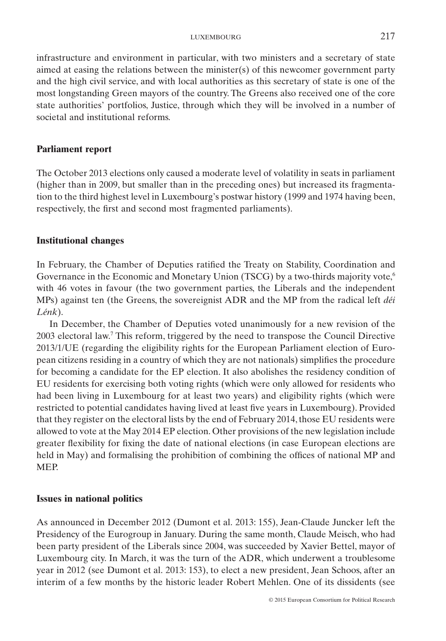infrastructure and environment in particular, with two ministers and a secretary of state aimed at easing the relations between the minister(s) of this newcomer government party and the high civil service, and with local authorities as this secretary of state is one of the most longstanding Green mayors of the country. The Greens also received one of the core state authorities' portfolios, Justice, through which they will be involved in a number of societal and institutional reforms.

## **Parliament report**

The October 2013 elections only caused a moderate level of volatility in seats in parliament (higher than in 2009, but smaller than in the preceding ones) but increased its fragmentation to the third highest level in Luxembourg's postwar history (1999 and 1974 having been, respectively, the first and second most fragmented parliaments).

# **Institutional changes**

In February, the Chamber of Deputies ratified the Treaty on Stability, Coordination and Governance in the Economic and Monetary Union (TSCG) by a two-thirds majority vote,<sup>6</sup> with 46 votes in favour (the two government parties, the Liberals and the independent MPs) against ten (the Greens, the sovereignist ADR and the MP from the radical left *déi Lénk*).

In December, the Chamber of Deputies voted unanimously for a new revision of the 2003 electoral law.7 This reform, triggered by the need to transpose the Council Directive 2013/1/UE (regarding the eligibility rights for the European Parliament election of European citizens residing in a country of which they are not nationals) simplifies the procedure for becoming a candidate for the EP election. It also abolishes the residency condition of EU residents for exercising both voting rights (which were only allowed for residents who had been living in Luxembourg for at least two years) and eligibility rights (which were restricted to potential candidates having lived at least five years in Luxembourg). Provided that they register on the electoral lists by the end of February 2014, those EU residents were allowed to vote at the May 2014 EP election. Other provisions of the new legislation include greater flexibility for fixing the date of national elections (in case European elections are held in May) and formalising the prohibition of combining the offices of national MP and MEP.

#### **Issues in national politics**

As announced in December 2012 (Dumont et al. 2013: 155), Jean-Claude Juncker left the Presidency of the Eurogroup in January. During the same month, Claude Meisch, who had been party president of the Liberals since 2004, was succeeded by Xavier Bettel, mayor of Luxembourg city. In March, it was the turn of the ADR, which underwent a troublesome year in 2012 (see Dumont et al. 2013: 153), to elect a new president, Jean Schoos, after an interim of a few months by the historic leader Robert Mehlen. One of its dissidents (see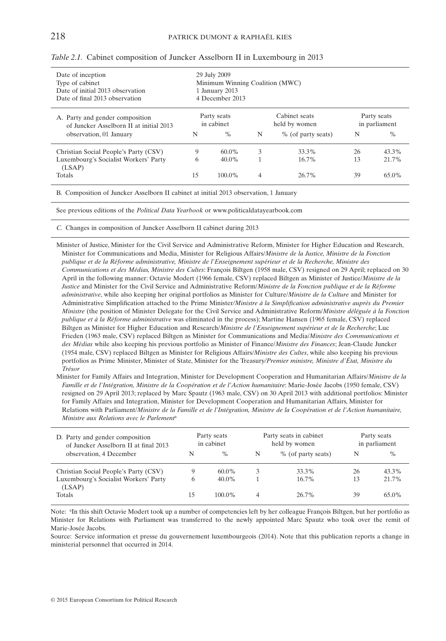| Date of inception<br>Type of cabinet<br>Date of initial 2013 observation<br>Date of final 2013 observation | 29 July 2009<br>Minimum Winning Coalition (MWC)<br>1 January 2013<br>4 December 2013 |           |   |                                |                              |          |  |  |  |
|------------------------------------------------------------------------------------------------------------|--------------------------------------------------------------------------------------|-----------|---|--------------------------------|------------------------------|----------|--|--|--|
| A. Party and gender composition<br>of Juncker Asselborn II at initial 2013                                 | Party seats<br>in cabinet                                                            |           |   | Cabinet seats<br>held by women | Party seats<br>in parliament |          |  |  |  |
| observation, 01 January                                                                                    | N                                                                                    | $\%$      | N | % (of party seats)             | N                            | $\%$     |  |  |  |
| Christian Social People's Party (CSV)                                                                      | 9                                                                                    | $60.0\%$  | 3 | 33.3%                          | 26                           | 43.3%    |  |  |  |
| Luxembourg's Socialist Workers' Party<br>(LSAP)                                                            | 6                                                                                    | $40.0\%$  |   | 16.7%                          | 13                           | 21.7%    |  |  |  |
| <b>Totals</b>                                                                                              | 15                                                                                   | $100.0\%$ | 4 | 26.7%                          | 39                           | $65.0\%$ |  |  |  |

#### *Table 2.1.* Cabinet composition of Juncker Asselborn II in Luxembourg in 2013

B. Composition of Juncker Asselborn II cabinet at initial 2013 observation, 1 January

See previous editions of the *Political Data Yearbook* or www.politicaldatayearbook.com

*C.* Changes in composition of Juncker Asselborn II cabinet during 2013

Minister of Justice, Minister for the Civil Service and Administrative Reform, Minister for Higher Education and Research, Minister for Communications and Media, Minister for Religious Affairs/*Ministre de la Justice, Ministre de la Fonction publique et de la Réforme administrative, Ministre de l'Enseignement supérieur et de la Recherche, Ministre des Communications et des Médias, Ministre des Cultes*: François Biltgen (1958 male, CSV) resigned on 29 April; replaced on 30 April in the following manner: Octavie Modert (1966 female, CSV) replaced Biltgen as Minister of Justice/*Ministre de la Justice* and Minister for the Civil Service and Administrative Reform/*Ministre de la Fonction publique et de la Réforme administrative*, while also keeping her original portfolios as Minister for Culture/*Ministre de la Culture* and Minister for Administrative Simplification attached to the Prime Minister*/Ministre à la Simplification administrative auprès du Premier Ministre* (the position of Minister Delegate for the Civil Service and Administrative Reform/*Ministre déléguée à la Fonction publique et à la Réforme administrative* was eliminated in the process); Martine Hansen (1965 female, CSV) replaced Biltgen as Minister for Higher Education and Research/*Ministre de l'Enseignement supérieur et de la Recherche*; Luc Frieden (1963 male, CSV) replaced Biltgen as Minister for Communications and Media/*Ministre des Communications et des Médias* while also keeping his previous portfolio as Minister of Finance/*Ministre des Finances*; Jean-Claude Juncker (1954 male, CSV) replaced Biltgen as Minister for Religious Affairs/*Ministre des Cultes*, while also keeping his previous portfolios as Prime Minister, Minister of State, Minister for the Treasury*/Premier ministre, Ministre d'État, Ministre du Trésor*

Minister for Family Affairs and Integration, Minister for Development Cooperation and Humanitarian Affairs/*Ministre de la Famille et de l'Intégration, Ministre de la Coopération et de l'Action humanitaire*: Marie-Josée Jacobs (1950 female, CSV) resigned on 29 April 2013; replaced by Marc Spautz (1963 male, CSV) on 30 April 2013 with additional portfolios: Minister for Family Affairs and Integration, Minister for Development Cooperation and Humanitarian Affairs, Minister for Relations with Parliament/*Ministre de la Famille et de l'Intégration, Ministre de la Coopération et de l'Action humanitaire, Ministre aux Relations avec le Parlement*<sup>a</sup>

| D. Party and gender composition<br>of Juncker Asselborn II at final 2013 | Party seats<br>in cabinet |          |   | Party seats in cabinet<br>held by women | Party seats<br>in parliament |       |  |  |
|--------------------------------------------------------------------------|---------------------------|----------|---|-----------------------------------------|------------------------------|-------|--|--|
| observation, 4 December                                                  | N                         | $\%$     | N | % (of party seats)                      | N                            | $\%$  |  |  |
| Christian Social People's Party (CSV)                                    | 9                         | $60.0\%$ |   | 33.3%                                   | 26                           | 43.3% |  |  |
| Luxembourg's Socialist Workers' Party<br>(LSAP)                          | 6                         | $40.0\%$ |   | $16.7\%$                                | 13                           | 21.7% |  |  |
| Totals                                                                   |                           | 100.0%   |   | 26.7%                                   | 39                           | 65.0% |  |  |

Note: <sup>a</sup>In this shift Octavie Modert took up a number of competencies left by her colleague François Biltgen, but her portfolio as Minister for Relations with Parliament was transferred to the newly appointed Marc Spautz who took over the remit of Marie-Josée Jacobs.

Source: Service information et presse du gouvernement luxembourgeois (2014). Note that this publication reports a change in ministerial personnel that occurred in 2014.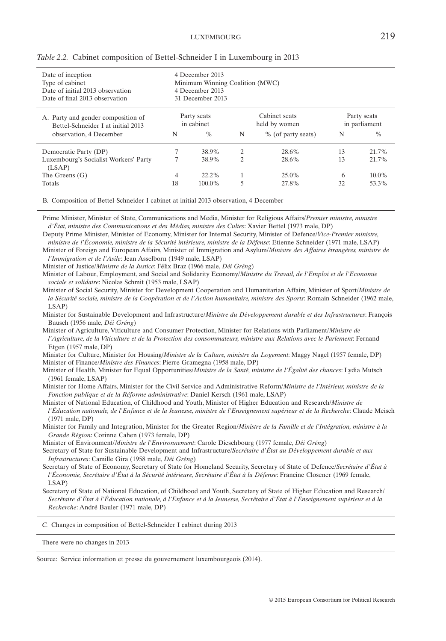| Date of inception<br>Type of cabinet<br>Date of initial 2013 observation<br>Date of final 2013 observation |                           | 4 December 2013<br>Minimum Winning Coalition (MWC)<br>4 December 2013<br>31 December 2013 |                |                                |                              |          |  |
|------------------------------------------------------------------------------------------------------------|---------------------------|-------------------------------------------------------------------------------------------|----------------|--------------------------------|------------------------------|----------|--|
| A. Party and gender composition of<br>Bettel-Schneider I at initial 2013                                   | Party seats<br>in cabinet |                                                                                           |                | Cabinet seats<br>held by women | Party seats<br>in parliament |          |  |
| observation, 4 December                                                                                    | N                         | $\%$                                                                                      | N              | % (of party seats)             | N                            | $\%$     |  |
| Democratic Party (DP)                                                                                      |                           | 38.9%                                                                                     | 2              | 28.6%                          | 13                           | 21.7%    |  |
| Luxembourg's Socialist Workers' Party<br>(LSAP)                                                            |                           | 38.9%                                                                                     | $\overline{c}$ | 28.6%                          | 13                           | 21.7%    |  |
| The Greens $(G)$                                                                                           | 4                         | $22.2\%$                                                                                  |                | 25.0%                          | 6                            | $10.0\%$ |  |
| Totals                                                                                                     | 18                        | 100.0%                                                                                    | 5              | 27.8%                          | 32                           | 53.3%    |  |

|  |  | Table 2.2. Cabinet composition of Bettel-Schneider I in Luxembourg in 2013 |  |  |  |  |  |  |  |  |  |  |  |
|--|--|----------------------------------------------------------------------------|--|--|--|--|--|--|--|--|--|--|--|
|--|--|----------------------------------------------------------------------------|--|--|--|--|--|--|--|--|--|--|--|

B. Composition of Bettel-Schneider I cabinet at initial 2013 observation, 4 December

Prime Minister, Minister of State, Communications and Media, Minister for Religious Affairs/*Premier ministre, ministre d'État, ministre des Communications et des Médias, ministre des Cultes*: Xavier Bettel (1973 male, DP)

Deputy Prime Minister, Minister of Economy, Minister for Internal Security, Minister of Defence/*Vice-Premier ministre, ministre de l'Économie, ministre de la Sécurité intérieure, ministre de la Défense*: Etienne Schneider (1971 male, LSAP)

Minister of Foreign and European Affairs, Minister of Immigration and Asylum/*Ministre des Affaires étrangères, ministre de l'Immigration et de l'Asile*: Jean Asselborn (1949 male, LSAP)

Minister of Justice/*Ministre de la Justice*: Félix Braz (1966 male, *Déi Gréng*)

Minister of Labour, Employment, and Social and Solidarity Economy/*Ministre du Travail, de l'Emploi et de l'Economie sociale et solidaire*: Nicolas Schmit (1953 male, LSAP)

Minister of Social Security, Minister for Development Cooperation and Humanitarian Affairs, Minister of Sport/*Ministre de la Sécurité sociale, ministre de la Coopération et de l'Action humanitaire, ministre des Sports*: Romain Schneider (1962 male, LSAP)

Minister for Sustainable Development and Infrastructure/*Ministre du Développement durable et des Infrastructures*: François Bausch (1956 male, *Déi Gréng*)

Minister of Agriculture, Viticulture and Consumer Protection, Minister for Relations with Parliament/*Ministre de l'Agriculture, de la Viticulture et de la Protection des consommateurs, ministre aux Relations avec le Parlement*: Fernand Etgen (1957 male, DP)

Minister for Culture, Minister for Housing/*Ministre de la Culture, ministre du Logement*: Maggy Nagel (1957 female, DP) Minister of Finance/*Ministre des Finances*: Pierre Gramegna (1958 male, DP)

Minister of Health, Minister for Equal Opportunities/*Ministre de la Santé, ministre de l'Égalité des chances*: Lydia Mutsch (1961 female, LSAP)

Minister for Home Affairs, Minister for the Civil Service and Administrative Reform/*Ministre de l'Intérieur, ministre de la Fonction publique et de la Réforme administrative*: Daniel Kersch (1961 male, LSAP)

Minister of National Education, of Childhood and Youth, Minister of Higher Education and Research/*Ministre de l'Éducation nationale, de l'Enfance et de la Jeunesse, ministre de l'Enseignement supérieur et de la Recherche*: Claude Meisch (1971 male, DP)

Minister for Family and Integration, Minister for the Greater Region/*Ministre de la Famille et de l'Intégration, ministre à la Grande Région*: Corinne Cahen (1973 female, DP)

Minister of Environment/*Ministre de l'Environnement*: Carole Dieschbourg (1977 female, *Déi Gréng*)

Secretary of State for Sustainable Development and Infrastructure/*Secrétaire d'État au Développement durable et aux Infrastructures*: Camille Gira (1958 male, *Déi Gréng*)

Secretary of State of Economy, Secretary of State for Homeland Security, Secretary of State of Defence/*Secrétaire d'État à l'Économie, Secrétaire d'État à la Sécurité intérieure, Secrétaire d'État à la Défense*: Francine Closener (1969 female, LSAP)

Secretary of State of National Education, of Childhood and Youth, Secretary of State of Higher Education and Research/ *Secrétaire d'État à l'Éducation nationale, à l'Enfance et à la Jeunesse, Secrétaire d'État à l'Enseignement supérieur et à la Recherche*: André Bauler (1971 male, DP)

*C.* Changes in composition of Bettel-Schneider I cabinet during 2013

There were no changes in 2013

Source: Service information et presse du gouvernement luxembourgeois (2014).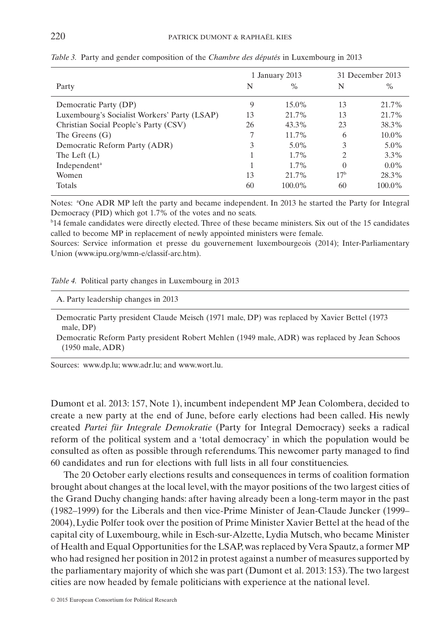|                                              |    | 1 January 2013 |          | 31 December 2013 |
|----------------------------------------------|----|----------------|----------|------------------|
| Party                                        | N  | $\%$           | N        | $\%$             |
| Democratic Party (DP)                        | 9  | $15.0\%$       | 13       | 21.7%            |
| Luxembourg's Socialist Workers' Party (LSAP) | 13 | 21.7%          | 13       | 21.7%            |
| Christian Social People's Party (CSV)        | 26 | $43.3\%$       | 23       | 38.3%            |
| The Greens $(G)$                             | 7  | 11.7%          | 6        | $10.0\%$         |
| Democratic Reform Party (ADR)                | 3  | $5.0\%$        | 3        | $5.0\%$          |
| The Left $(L)$                               |    | $1.7\%$        | 2        | $3.3\%$          |
| Independent <sup>a</sup>                     |    | $1.7\%$        | $\Omega$ | $0.0\%$          |
| Women                                        | 13 | 21.7%          | $17^{b}$ | 28.3%            |
| <b>Totals</b>                                | 60 | $100.0\%$      | 60       | 100.0%           |

*Table 3.* Party and gender composition of the *Chambre des députés* in Luxembourg in 2013

Notes: <sup>a</sup>One ADR MP left the party and became independent. In 2013 he started the Party for Integral Democracy (PID) which got 1.7% of the votes and no seats.

b 14 female candidates were directly elected. Three of these became ministers. Six out of the 15 candidates called to become MP in replacement of newly appointed ministers were female.

Sources: Service information et presse du gouvernement luxembourgeois (2014); Inter-Parliamentary Union (www.ipu.org/wmn-e/classif-arc.htm).

|  |  |  |  |  | Table 4. Political party changes in Luxembourg in 2013 |  |  |
|--|--|--|--|--|--------------------------------------------------------|--|--|
|--|--|--|--|--|--------------------------------------------------------|--|--|

| A. Party leadership changes in 2013                                                          |  |
|----------------------------------------------------------------------------------------------|--|
| Democratic Party president Claude Meisch (1971 male, DP) was replaced by Xavier Bettel (1973 |  |

male, DP) Democratic Reform Party president Robert Mehlen (1949 male, ADR) was replaced by Jean Schoos (1950 male, ADR)

Sources: www.dp.lu; www.adr.lu; and www.wort.lu.

Dumont et al. 2013: 157, Note 1), incumbent independent MP Jean Colombera, decided to create a new party at the end of June, before early elections had been called. His newly created *Partei für Integrale Demokratie* (Party for Integral Democracy) seeks a radical reform of the political system and a 'total democracy' in which the population would be consulted as often as possible through referendums. This newcomer party managed to find 60 candidates and run for elections with full lists in all four constituencies.

The 20 October early elections results and consequences in terms of coalition formation brought about changes at the local level, with the mayor positions of the two largest cities of the Grand Duchy changing hands: after having already been a long-term mayor in the past (1982–1999) for the Liberals and then vice-Prime Minister of Jean-Claude Juncker (1999– 2004), Lydie Polfer took over the position of Prime Minister Xavier Bettel at the head of the capital city of Luxembourg, while in Esch-sur-Alzette, Lydia Mutsch, who became Minister of Health and Equal Opportunities for the LSAP, was replaced by Vera Spautz, a former MP who had resigned her position in 2012 in protest against a number of measures supported by the parliamentary majority of which she was part (Dumont et al. 2013: 153).The two largest cities are now headed by female politicians with experience at the national level.